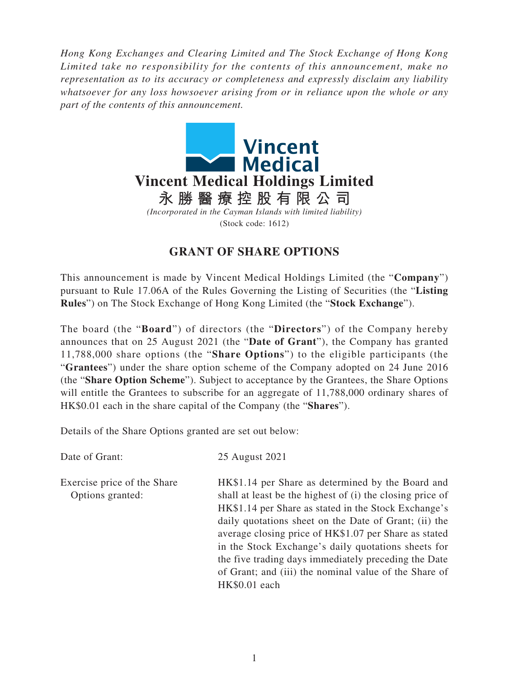*Hong Kong Exchanges and Clearing Limited and The Stock Exchange of Hong Kong Limited take no responsibility for the contents of this announcement, make no representation as to its accuracy or completeness and expressly disclaim any liability whatsoever for any loss howsoever arising from or in reliance upon the whole or any part of the contents of this announcement.*



## **GRANT OF SHARE OPTIONS**

This announcement is made by Vincent Medical Holdings Limited (the "**Company**") pursuant to Rule 17.06A of the Rules Governing the Listing of Securities (the "**Listing Rules**") on The Stock Exchange of Hong Kong Limited (the "**Stock Exchange**").

The board (the "**Board**") of directors (the "**Directors**") of the Company hereby announces that on 25 August 2021 (the "**Date of Grant**"), the Company has granted 11,788,000 share options (the "**Share Options**") to the eligible participants (the "**Grantees**") under the share option scheme of the Company adopted on 24 June 2016 (the "**Share Option Scheme**"). Subject to acceptance by the Grantees, the Share Options will entitle the Grantees to subscribe for an aggregate of 11,788,000 ordinary shares of HK\$0.01 each in the share capital of the Company (the "**Shares**").

Details of the Share Options granted are set out below:

Date of Grant: 25 August 2021 Exercise price of the Share Options granted: HK\$1.14 per Share as determined by the Board and shall at least be the highest of (i) the closing price of HK\$1.14 per Share as stated in the Stock Exchange's daily quotations sheet on the Date of Grant; (ii) the average closing price of HK\$1.07 per Share as stated in the Stock Exchange's daily quotations sheets for the five trading days immediately preceding the Date of Grant; and (iii) the nominal value of the Share of HK\$0.01 each